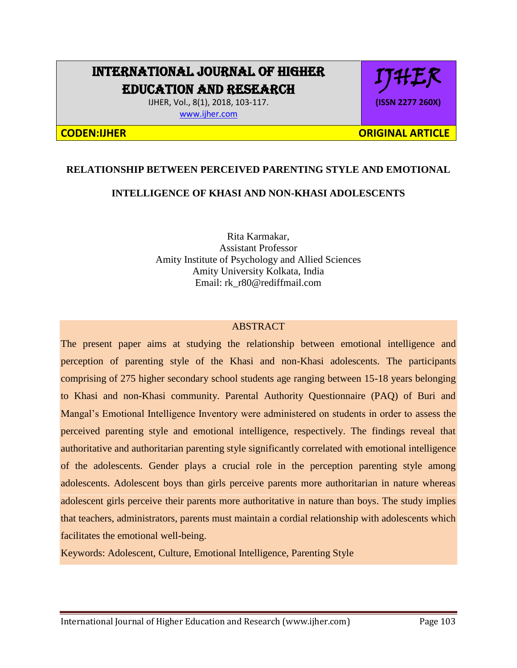# INTERNATIONAL JOURNAL OF HIGHER EDUCATION AND RESEARCH

IJHER, Vol., 8(1), 2018, 103-117. [www.ijher.com](http://www.ijher.com/)



**CODEN:IJHER ORIGINAL ARTICLE** 

# **RELATIONSHIP BETWEEN PERCEIVED PARENTING STYLE AND EMOTIONAL**

# **INTELLIGENCE OF KHASI AND NON-KHASI ADOLESCENTS**

Rita Karmakar, Assistant Professor Amity Institute of Psychology and Allied Sciences Amity University Kolkata, India Email: rk\_r80@rediffmail.com

# ABSTRACT

The present paper aims at studying the relationship between emotional intelligence and perception of parenting style of the Khasi and non-Khasi adolescents. The participants comprising of 275 higher secondary school students age ranging between 15-18 years belonging to Khasi and non-Khasi community. Parental Authority Questionnaire (PAQ) of Buri and Mangal's Emotional Intelligence Inventory were administered on students in order to assess the perceived parenting style and emotional intelligence, respectively. The findings reveal that authoritative and authoritarian parenting style significantly correlated with emotional intelligence of the adolescents. Gender plays a crucial role in the perception parenting style among adolescents. Adolescent boys than girls perceive parents more authoritarian in nature whereas adolescent girls perceive their parents more authoritative in nature than boys. The study implies that teachers, administrators, parents must maintain a cordial relationship with adolescents which facilitates the emotional well-being.

Keywords: Adolescent, Culture, Emotional Intelligence, Parenting Style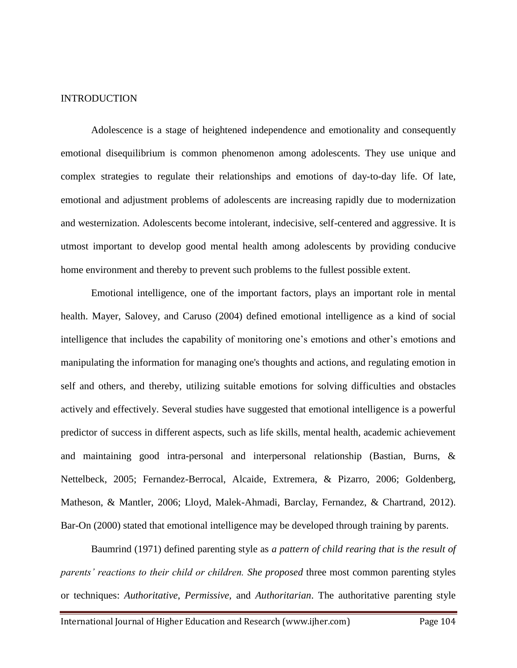#### **INTRODUCTION**

Adolescence is a stage of heightened independence and emotionality and consequently emotional disequilibrium is common phenomenon among adolescents. They use unique and complex strategies to regulate their relationships and emotions of day-to-day life. Of late, emotional and adjustment problems of adolescents are increasing rapidly due to modernization and westernization. Adolescents become intolerant, indecisive, self-centered and aggressive. It is utmost important to develop good mental health among adolescents by providing conducive home environment and thereby to prevent such problems to the fullest possible extent.

Emotional intelligence, one of the important factors, plays an important role in mental health. Mayer, Salovey, and Caruso (2004) defined emotional intelligence as a kind of social intelligence that includes the capability of monitoring one's emotions and other's emotions and manipulating the information for managing one's thoughts and actions, and regulating emotion in self and others, and thereby, utilizing suitable emotions for solving difficulties and obstacles actively and effectively. Several studies have suggested that emotional intelligence is a powerful predictor of success in different aspects, such as life skills, mental health, academic achievement and maintaining good intra-personal and interpersonal relationship (Bastian, Burns, & Nettelbeck, 2005; Fernandez-Berrocal, Alcaide, Extremera, & Pizarro, 2006; Goldenberg, Matheson, & Mantler, 2006; Lloyd, Malek-Ahmadi, Barclay, Fernandez, & Chartrand, 2012). Bar-On (2000) stated that emotional intelligence may be developed through training by parents.

Baumrind (1971) defined parenting style as *a pattern of child rearing that is the result of parents' reactions to their child or children. She proposed* three most common parenting styles or techniques: *Authoritative*, *Permissive,* and *Authoritarian*. The authoritative parenting style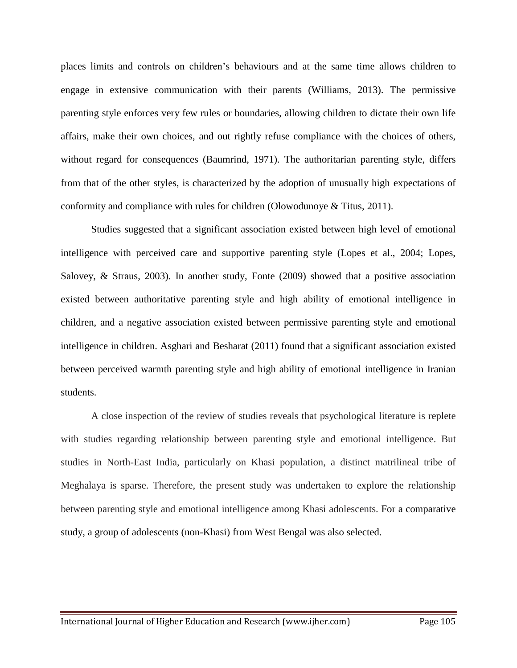places limits and controls on children's behaviours and at the same time allows children to engage in extensive communication with their parents (Williams, 2013). The permissive parenting style enforces very few rules or boundaries, allowing children to dictate their own life affairs, make their own choices, and out rightly refuse compliance with the choices of others, without regard for consequences (Baumrind, 1971). The authoritarian parenting style, differs from that of the other styles, is characterized by the adoption of unusually high expectations of conformity and compliance with rules for children (Olowodunoye & Titus, 2011).

Studies suggested that a significant association existed between high level of emotional intelligence with perceived care and supportive parenting style (Lopes et al., 2004; Lopes, Salovey, & Straus, 2003). In another study, Fonte (2009) showed that a positive association existed between authoritative parenting style and high ability of emotional intelligence in children, and a negative association existed between permissive parenting style and emotional intelligence in children. Asghari and Besharat (2011) found that a significant association existed between perceived warmth parenting style and high ability of emotional intelligence in Iranian students.

A close inspection of the review of studies reveals that psychological literature is replete with studies regarding relationship between parenting style and emotional intelligence. But studies in North-East India, particularly on Khasi population, a distinct matrilineal tribe of Meghalaya is sparse. Therefore, the present study was undertaken to explore the relationship between parenting style and emotional intelligence among Khasi adolescents. For a comparative study, a group of adolescents (non-Khasi) from West Bengal was also selected.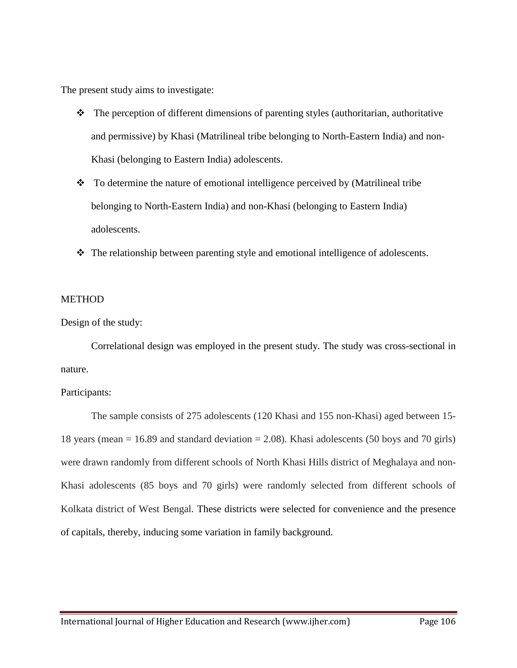The present study aims to investigate:

- $\bullet$  The perception of different dimensions of parenting styles (authoritarian, authoritative and permissive) by Khasi (Matrilineal tribe belonging to North-Eastern India) and non-Khasi (belonging to Eastern India) adolescents.
- \* To determine the nature of emotional intelligence perceived by (Matrilineal tribe belonging to North-Eastern India) and non-Khasi (belonging to Eastern India) adolescents.
- The relationship between parenting style and emotional intelligence of adolescents.

# **METHOD**

Design of the study:

Correlational design was employed in the present study. The study was cross-sectional in nature.

# Participants:

The sample consists of 275 adolescents (120 Khasi and 155 non-Khasi) aged between 15- 18 years (mean  $= 16.89$  and standard deviation  $= 2.08$ ). Khasi adolescents (50 boys and 70 girls) were drawn randomly from different schools of North Khasi Hills district of Meghalaya and non-Khasi adolescents (85 boys and 70 girls) were randomly selected from different schools of Kolkata district of West Bengal. These districts were selected for convenience and the presence of capitals, thereby, inducing some variation in family background.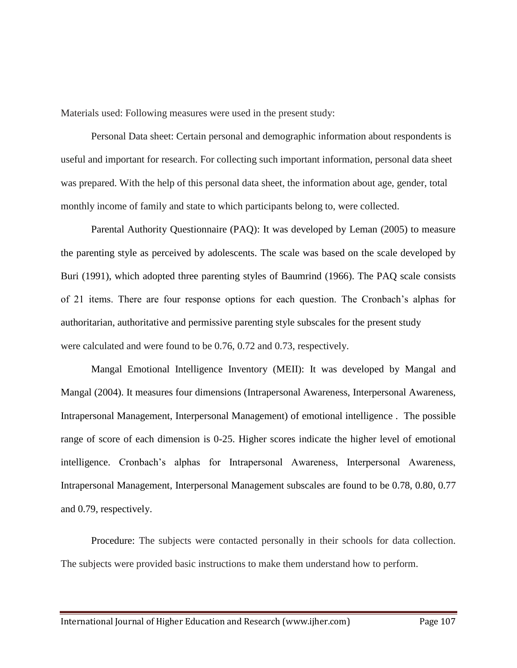Materials used: Following measures were used in the present study:

Personal Data sheet: Certain personal and demographic information about respondents is useful and important for research. For collecting such important information, personal data sheet was prepared. With the help of this personal data sheet, the information about age, gender, total monthly income of family and state to which participants belong to, were collected.

Parental Authority Questionnaire (PAQ): It was developed by Leman (2005) to measure the parenting style as perceived by adolescents. The scale was based on the scale developed by Buri (1991), which adopted three parenting styles of Baumrind (1966). The PAQ scale consists of 21 items. There are four response options for each question. The Cronbach's alphas for authoritarian, authoritative and permissive parenting style subscales for the present study were calculated and were found to be 0.76, 0.72 and 0.73, respectively.

Mangal Emotional Intelligence Inventory (MEII): It was developed by Mangal and Mangal (2004). It measures four dimensions (Intrapersonal Awareness, Interpersonal Awareness, Intrapersonal Management, Interpersonal Management) of emotional intelligence . The possible range of score of each dimension is 0-25. Higher scores indicate the higher level of emotional intelligence. Cronbach's alphas for Intrapersonal Awareness, Interpersonal Awareness, Intrapersonal Management, Interpersonal Management subscales are found to be 0.78, 0.80, 0.77 and 0.79, respectively.

Procedure: The subjects were contacted personally in their schools for data collection. The subjects were provided basic instructions to make them understand how to perform.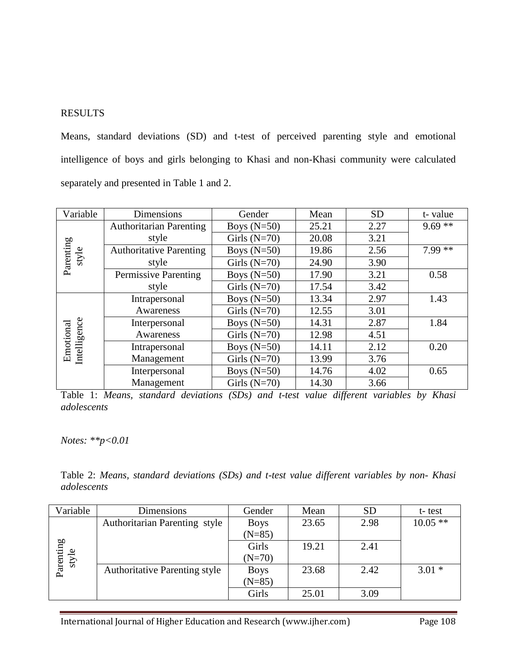# RESULTS

Means, standard deviations (SD) and t-test of perceived parenting style and emotional intelligence of boys and girls belonging to Khasi and non-Khasi community were calculated separately and presented in Table 1 and 2.

| Variable                  | Dimensions                     | Gender         | Mean  | <b>SD</b> | t-value  |
|---------------------------|--------------------------------|----------------|-------|-----------|----------|
|                           | <b>Authoritarian Parenting</b> | Boys $(N=50)$  | 25.21 | 2.27      | $9.69**$ |
|                           | style                          | Girls $(N=70)$ | 20.08 | 3.21      |          |
| style                     | <b>Authoritative Parenting</b> | Boys $(N=50)$  | 19.86 | 2.56      | $7.99**$ |
| Parenting                 | style                          | Girls $(N=70)$ | 24.90 | 3.90      |          |
|                           | Permissive Parenting           | Boys $(N=50)$  | 17.90 | 3.21      | 0.58     |
|                           | style                          | Girls $(N=70)$ | 17.54 | 3.42      |          |
| Emotional<br>Intelligence | Intrapersonal                  | Boys $(N=50)$  | 13.34 | 2.97      | 1.43     |
|                           | Awareness                      | Girls $(N=70)$ | 12.55 | 3.01      |          |
|                           | Interpersonal                  | Boys $(N=50)$  | 14.31 | 2.87      | 1.84     |
|                           | Awareness                      | Girls $(N=70)$ | 12.98 | 4.51      |          |
|                           | Intrapersonal                  | Boys $(N=50)$  | 14.11 | 2.12      | 0.20     |
|                           | Management                     | Girls $(N=70)$ | 13.99 | 3.76      |          |
|                           | Interpersonal                  | Boys $(N=50)$  | 14.76 | 4.02      | 0.65     |
|                           | Management                     | Girls $(N=70)$ | 14.30 | 3.66      |          |

Table 1: *Means, standard deviations (SDs) and t-test value different variables by Khasi adolescents* 

*Notes: \*\*p<0.01*

Table 2: *Means, standard deviations (SDs) and t-test value different variables by non- Khasi adolescents* 

| Variable           | Dimensions                           | Gender      | Mean  | <b>SD</b> | t-test     |
|--------------------|--------------------------------------|-------------|-------|-----------|------------|
| Parenting<br>style | <b>Authoritarian Parenting style</b> | <b>Boys</b> | 23.65 | 2.98      | $10.05$ ** |
|                    |                                      | $(N=85)$    |       |           |            |
|                    |                                      | Girls       | 19.21 | 2.41      |            |
|                    |                                      | $(N=70)$    |       |           |            |
|                    | <b>Authoritative Parenting style</b> | <b>Boys</b> | 23.68 | 2.42      | $3.01*$    |
|                    |                                      | $(N=85)$    |       |           |            |
|                    |                                      | Girls       | 25.01 | 3.09      |            |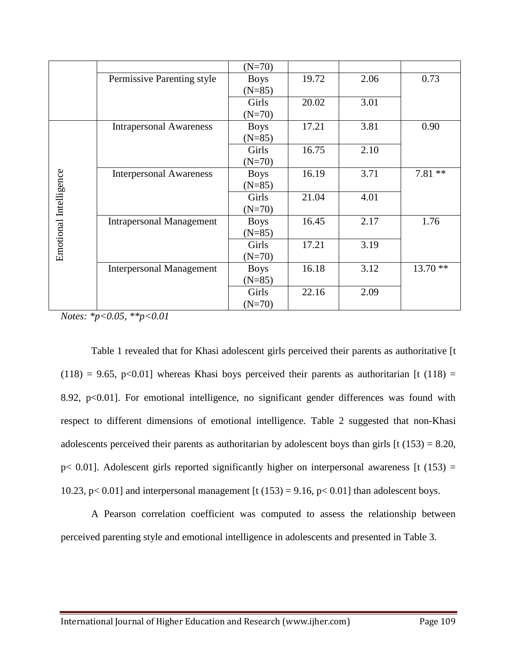|                        |                                 | $(N=70)$    |       |      |           |
|------------------------|---------------------------------|-------------|-------|------|-----------|
|                        | Permissive Parenting style      | <b>Boys</b> | 19.72 | 2.06 | 0.73      |
|                        |                                 | $(N=85)$    |       |      |           |
|                        |                                 | Girls       | 20.02 | 3.01 |           |
|                        |                                 | $(N=70)$    |       |      |           |
|                        | <b>Intrapersonal Awareness</b>  | <b>Boys</b> | 17.21 | 3.81 | 0.90      |
|                        |                                 | $(N=85)$    |       |      |           |
|                        |                                 | Girls       | 16.75 | 2.10 |           |
|                        |                                 | $(N=70)$    |       |      |           |
|                        | <b>Interpersonal Awareness</b>  | <b>Boys</b> | 16.19 | 3.71 | $7.81**$  |
|                        |                                 | $(N=85)$    |       |      |           |
|                        |                                 | Girls       | 21.04 | 4.01 |           |
|                        |                                 | $(N=70)$    |       |      |           |
|                        | <b>Intrapersonal Management</b> | <b>Boys</b> | 16.45 | 2.17 | 1.76      |
| Emotional Intelligence |                                 | $(N=85)$    |       |      |           |
|                        |                                 | Girls       | 17.21 | 3.19 |           |
|                        |                                 | $(N=70)$    |       |      |           |
|                        | <b>Interpersonal Management</b> | <b>Boys</b> | 16.18 | 3.12 | $13.70**$ |
|                        |                                 | $(N=85)$    |       |      |           |
|                        |                                 | Girls       | 22.16 | 2.09 |           |
|                        |                                 | $(N=70)$    |       |      |           |

*Notes: \*p<0.05, \*\*p<0.01*

Table 1 revealed that for Khasi adolescent girls perceived their parents as authoritative [t  $(118) = 9.65$ , p<0.01] whereas Khasi boys perceived their parents as authoritarian [t (118) = 8.92, p<0.01]. For emotional intelligence, no significant gender differences was found with respect to different dimensions of emotional intelligence. Table 2 suggested that non-Khasi adolescents perceived their parents as authoritarian by adolescent boys than girls  $[t (153) = 8.20,$  $p$ < 0.01]. Adolescent girls reported significantly higher on interpersonal awareness [t (153) = 10.23, p< 0.01] and interpersonal management [t (153) = 9.16, p< 0.01] than adolescent boys.

A Pearson correlation coefficient was computed to assess the relationship between perceived parenting style and emotional intelligence in adolescents and presented in Table 3.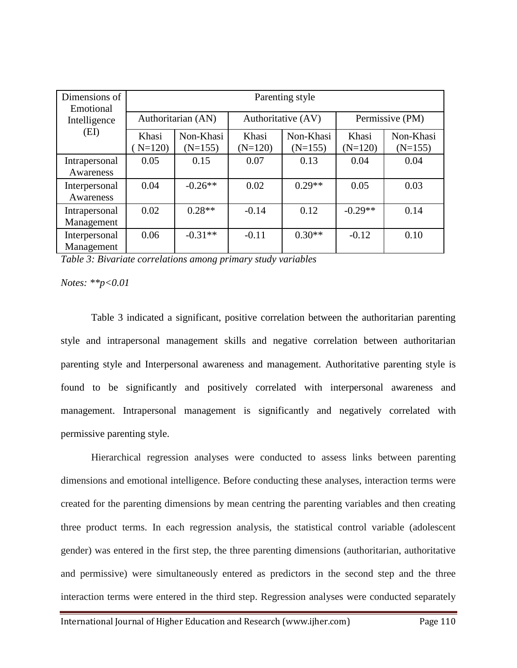| Dimensions of<br>Emotional  | Parenting style    |                        |                    |                        |                    |                        |  |  |
|-----------------------------|--------------------|------------------------|--------------------|------------------------|--------------------|------------------------|--|--|
| Intelligence                | Authoritarian (AN) |                        |                    | Authoritative (AV)     | Permissive (PM)    |                        |  |  |
| (EI)                        | Khasi<br>$N=120$   | Non-Khasi<br>$(N=155)$ | Khasi<br>$(N=120)$ | Non-Khasi<br>$(N=155)$ | Khasi<br>$(N=120)$ | Non-Khasi<br>$(N=155)$ |  |  |
| Intrapersonal<br>Awareness  | 0.05               | 0.15                   | 0.07               | 0.13                   | 0.04               | 0.04                   |  |  |
| Interpersonal<br>Awareness  | 0.04               | $-0.26**$              | 0.02               | $0.29**$               | 0.05               | 0.03                   |  |  |
| Intrapersonal<br>Management | 0.02               | $0.28**$               | $-0.14$            | 0.12                   | $-0.29**$          | 0.14                   |  |  |
| Interpersonal<br>Management | 0.06               | $-0.31**$              | $-0.11$            | $0.30**$               | $-0.12$            | 0.10                   |  |  |

*Table 3: Bivariate correlations among primary study variables*

## *Notes: \*\*p<0.01*

Table 3 indicated a significant, positive correlation between the authoritarian parenting style and intrapersonal management skills and negative correlation between authoritarian parenting style and Interpersonal awareness and management. Authoritative parenting style is found to be significantly and positively correlated with interpersonal awareness and management. Intrapersonal management is significantly and negatively correlated with permissive parenting style.

Hierarchical regression analyses were conducted to assess links between parenting dimensions and emotional intelligence. Before conducting these analyses, interaction terms were created for the parenting dimensions by mean centring the parenting variables and then creating three product terms. In each regression analysis, the statistical control variable (adolescent gender) was entered in the first step, the three parenting dimensions (authoritarian, authoritative and permissive) were simultaneously entered as predictors in the second step and the three interaction terms were entered in the third step. Regression analyses were conducted separately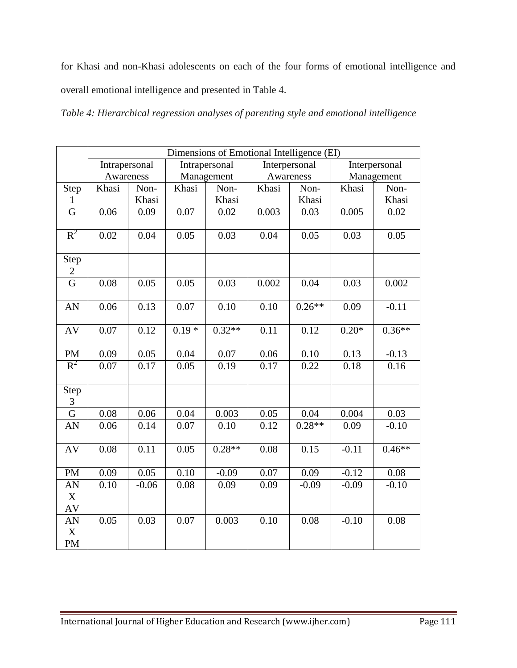for Khasi and non-Khasi adolescents on each of the four forms of emotional intelligence and overall emotional intelligence and presented in Table 4.

*Table 4: Hierarchical regression analyses of parenting style and emotional intelligence*

|                                                           | Dimensions of Emotional Intelligence (EI) |         |                     |               |               |          |               |            |  |  |
|-----------------------------------------------------------|-------------------------------------------|---------|---------------------|---------------|---------------|----------|---------------|------------|--|--|
|                                                           | Intrapersonal                             |         |                     | Intrapersonal | Interpersonal |          | Interpersonal |            |  |  |
|                                                           | Awareness                                 |         |                     | Management    | Awareness     |          |               | Management |  |  |
| Step                                                      | Khasi                                     | Non-    | Khasi               | Non-          | Non-<br>Khasi |          | Khasi         | Non-       |  |  |
| 1                                                         |                                           | Khasi   |                     | Khasi         |               | Khasi    |               | Khasi      |  |  |
| G                                                         | 0.06                                      | 0.09    | 0.07                | 0.02          | 0.003         | 0.03     | 0.005         | 0.02       |  |  |
| $R^2$                                                     | 0.02                                      | 0.04    | 0.05                | 0.03          | 0.04          | 0.05     | 0.03          | 0.05       |  |  |
| Step<br>$\overline{c}$                                    |                                           |         |                     |               |               |          |               |            |  |  |
| $\overline{G}$                                            | 0.08                                      | 0.05    | 0.05                | 0.03          | 0.002         | 0.04     | 0.03          | 0.002      |  |  |
| AN                                                        | 0.06                                      | 0.13    | 0.07                | 0.10          | 0.10          | $0.26**$ | 0.09          | $-0.11$    |  |  |
| AV                                                        | 0.07                                      | 0.12    | $\overline{0.19}$ * | $0.32**$      | 0.11          | 0.12     | $0.20*$       | $0.36**$   |  |  |
| <b>PM</b>                                                 | 0.09                                      | 0.05    | 0.04                | 0.07          | 0.06          | 0.10     | 0.13          | $-0.13$    |  |  |
| $R^2$                                                     | 0.07                                      | 0.17    | 0.05                | 0.19          | 0.17          | 0.22     | 0.18          | 0.16       |  |  |
| Step<br>3                                                 |                                           |         |                     |               |               |          |               |            |  |  |
| G                                                         | 0.08                                      | 0.06    | 0.04                | 0.003         | 0.05          | 0.04     | 0.004         | 0.03       |  |  |
| AN                                                        | 0.06                                      | 0.14    | 0.07                | 0.10          | 0.12          | $0.28**$ | 0.09          | $-0.10$    |  |  |
| AV                                                        | 0.08                                      | 0.11    | 0.05                | $0.28**$      | 0.08          | 0.15     | $-0.11$       | $0.46**$   |  |  |
| <b>PM</b>                                                 | 0.09                                      | 0.05    | 0.10                | $-0.09$       | 0.07          | 0.09     | $-0.12$       | 0.08       |  |  |
| AN<br>$\boldsymbol{\mathrm{X}}$<br>$\mathbf{A}\mathbf{V}$ | 0.10                                      | $-0.06$ | 0.08                | 0.09          | 0.09          | $-0.09$  | $-0.09$       | $-0.10$    |  |  |
| AN<br>$\mathbf X$<br><b>PM</b>                            | 0.05                                      | 0.03    | 0.07                | 0.003         | 0.10          | 0.08     | $-0.10$       | 0.08       |  |  |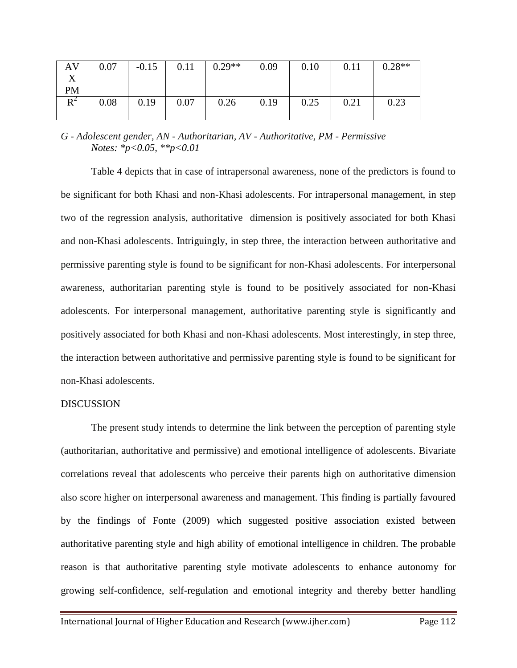| AV        | 0.07 | $-0.15$ | 0.11 | $0.29**$ | 0.09 | 0.10 | 0.11 | $0.28**$ |
|-----------|------|---------|------|----------|------|------|------|----------|
|           |      |         |      |          |      |      |      |          |
| <b>PM</b> |      |         |      |          |      |      |      |          |
| $R^2$     | 0.08 | 0.19    | 0.07 | 0.26     | 0.19 | 0.25 | 0.21 | 0.23     |
|           |      |         |      |          |      |      |      |          |

*G - Adolescent gender, AN - Authoritarian, AV - Authoritative, PM - Permissive Notes: \*p<0.05, \*\*p<0.01*

Table 4 depicts that in case of intrapersonal awareness, none of the predictors is found to be significant for both Khasi and non-Khasi adolescents. For intrapersonal management, in step two of the regression analysis, authoritative dimension is positively associated for both Khasi and non-Khasi adolescents. Intriguingly, in step three, the interaction between authoritative and permissive parenting style is found to be significant for non-Khasi adolescents. For interpersonal awareness, authoritarian parenting style is found to be positively associated for non-Khasi adolescents. For interpersonal management, authoritative parenting style is significantly and positively associated for both Khasi and non-Khasi adolescents. Most interestingly, in step three, the interaction between authoritative and permissive parenting style is found to be significant for non-Khasi adolescents.

# DISCUSSION

The present study intends to determine the link between the perception of parenting style (authoritarian, authoritative and permissive) and emotional intelligence of adolescents. Bivariate correlations reveal that adolescents who perceive their parents high on authoritative dimension also score higher on interpersonal awareness and management. This finding is partially favoured by the findings of Fonte (2009) which suggested positive association existed between authoritative parenting style and high ability of emotional intelligence in children. The probable reason is that authoritative parenting style motivate adolescents to enhance autonomy for growing self-confidence, self-regulation and emotional integrity and thereby better handling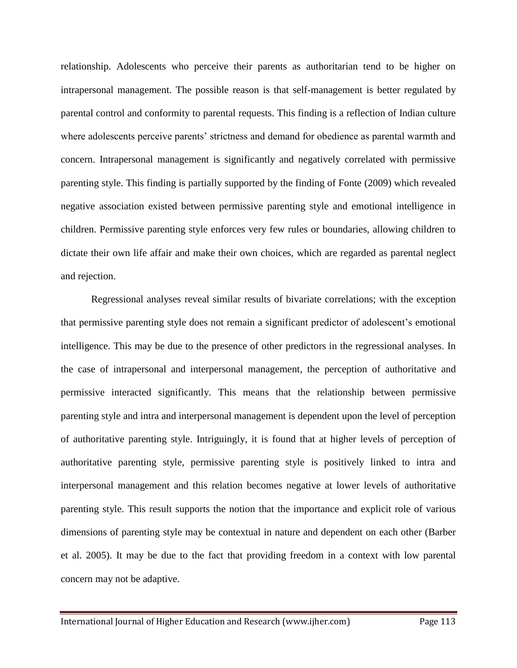relationship. Adolescents who perceive their parents as authoritarian tend to be higher on intrapersonal management. The possible reason is that self-management is better regulated by parental control and conformity to parental requests. This finding is a reflection of Indian culture where adolescents perceive parents' strictness and demand for obedience as parental warmth and concern. Intrapersonal management is significantly and negatively correlated with permissive parenting style. This finding is partially supported by the finding of Fonte (2009) which revealed negative association existed between permissive parenting style and emotional intelligence in children. Permissive parenting style enforces very few rules or boundaries, allowing children to dictate their own life affair and make their own choices, which are regarded as parental neglect and rejection.

Regressional analyses reveal similar results of bivariate correlations; with the exception that permissive parenting style does not remain a significant predictor of adolescent's emotional intelligence. This may be due to the presence of other predictors in the regressional analyses. In the case of intrapersonal and interpersonal management, the perception of authoritative and permissive interacted significantly. This means that the relationship between permissive parenting style and intra and interpersonal management is dependent upon the level of perception of authoritative parenting style. Intriguingly, it is found that at higher levels of perception of authoritative parenting style, permissive parenting style is positively linked to intra and interpersonal management and this relation becomes negative at lower levels of authoritative parenting style. This result supports the notion that the importance and explicit role of various dimensions of parenting style may be contextual in nature and dependent on each other (Barber et al. 2005). It may be due to the fact that providing freedom in a context with low parental concern may not be adaptive.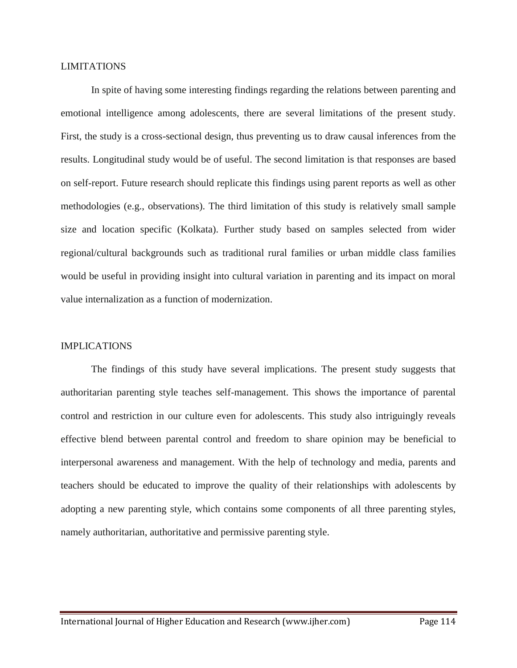## LIMITATIONS

In spite of having some interesting findings regarding the relations between parenting and emotional intelligence among adolescents, there are several limitations of the present study. First, the study is a cross-sectional design, thus preventing us to draw causal inferences from the results. Longitudinal study would be of useful. The second limitation is that responses are based on self-report. Future research should replicate this findings using parent reports as well as other methodologies (e.g., observations). The third limitation of this study is relatively small sample size and location specific (Kolkata). Further study based on samples selected from wider regional/cultural backgrounds such as traditional rural families or urban middle class families would be useful in providing insight into cultural variation in parenting and its impact on moral value internalization as a function of modernization.

### IMPLICATIONS

The findings of this study have several implications. The present study suggests that authoritarian parenting style teaches self-management. This shows the importance of parental control and restriction in our culture even for adolescents. This study also intriguingly reveals effective blend between parental control and freedom to share opinion may be beneficial to interpersonal awareness and management. With the help of technology and media, parents and teachers should be educated to improve the quality of their relationships with adolescents by adopting a new parenting style, which contains some components of all three parenting styles, namely authoritarian, authoritative and permissive parenting style.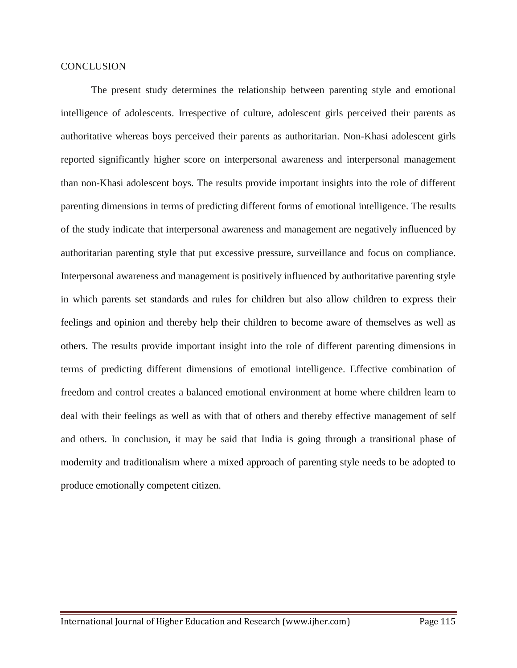### **CONCLUSION**

The present study determines the relationship between parenting style and emotional intelligence of adolescents. Irrespective of culture, adolescent girls perceived their parents as authoritative whereas boys perceived their parents as authoritarian. Non-Khasi adolescent girls reported significantly higher score on interpersonal awareness and interpersonal management than non-Khasi adolescent boys. The results provide important insights into the role of different parenting dimensions in terms of predicting different forms of emotional intelligence. The results of the study indicate that interpersonal awareness and management are negatively influenced by authoritarian parenting style that put excessive pressure, surveillance and focus on compliance. Interpersonal awareness and management is positively influenced by authoritative parenting style in which parents set standards and rules for children but also allow children to express their feelings and opinion and thereby help their children to become aware of themselves as well as others. The results provide important insight into the role of different parenting dimensions in terms of predicting different dimensions of emotional intelligence. Effective combination of freedom and control creates a balanced emotional environment at home where children learn to deal with their feelings as well as with that of others and thereby effective management of self and others. In conclusion, it may be said that India is going through a transitional phase of modernity and traditionalism where a mixed approach of parenting style needs to be adopted to produce emotionally competent citizen.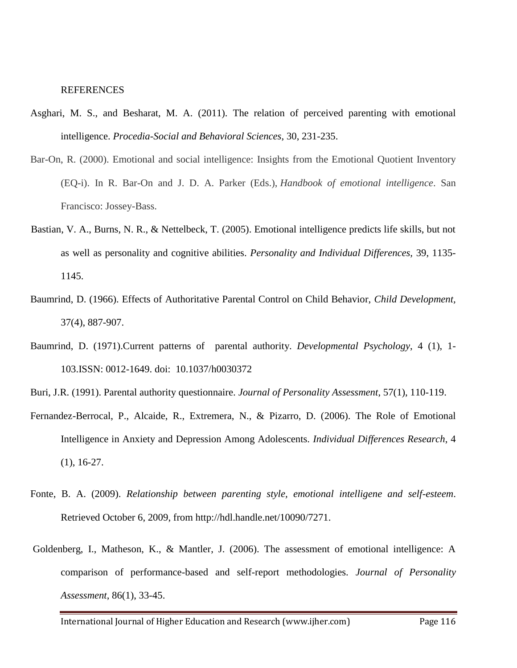#### **REFERENCES**

- Asghari, M. S., and Besharat, M. A. (2011). The relation of perceived parenting with emotional intelligence. *Procedia-Social and Behavioral Sciences*, 30, 231-235.
- Bar-On, R. (2000). Emotional and social intelligence: Insights from the Emotional Quotient Inventory (EQ-i). In R. Bar-On and J. D. A. Parker (Eds.), *Handbook of emotional intelligence*. San Francisco: Jossey-Bass.
- Bastian, V. A., Burns, N. R., & Nettelbeck, T. (2005). Emotional intelligence predicts life skills, but not as well as personality and cognitive abilities. *Personality and Individual Differences,* 39, 1135- 1145.
- Baumrind, D. (1966). Effects of Authoritative Parental Control on Child Behavior, *Child Development,*  37(4), 887-907.
- Baumrind, D. (1971).Current patterns of parental authority. *Developmental Psychology*, 4 (1), 1- 103.ISSN: 0012-1649. doi: 10.1037/h0030372
- Buri, J.R. (1991). Parental authority questionnaire. *Journal of Personality Assessment*, 57(1), 110-119.
- Fernandez-Berrocal, P., Alcaide, R., Extremera, N., & Pizarro, D. (2006). The Role of Emotional Intelligence in Anxiety and Depression Among Adolescents. *Individual Differences Research*, 4 (1), 16-27.
- Fonte, B. A. (2009). *Relationship between parenting style, emotional intelligene and self-esteem*. Retrieved October 6, 2009, from http://hdl.handle.net/10090/7271.
- Goldenberg, I., Matheson, K., & Mantler, J. (2006). The assessment of emotional intelligence: A comparison of performance-based and self-report methodologies. *Journal of Personality Assessment*, 86(1), 33-45.